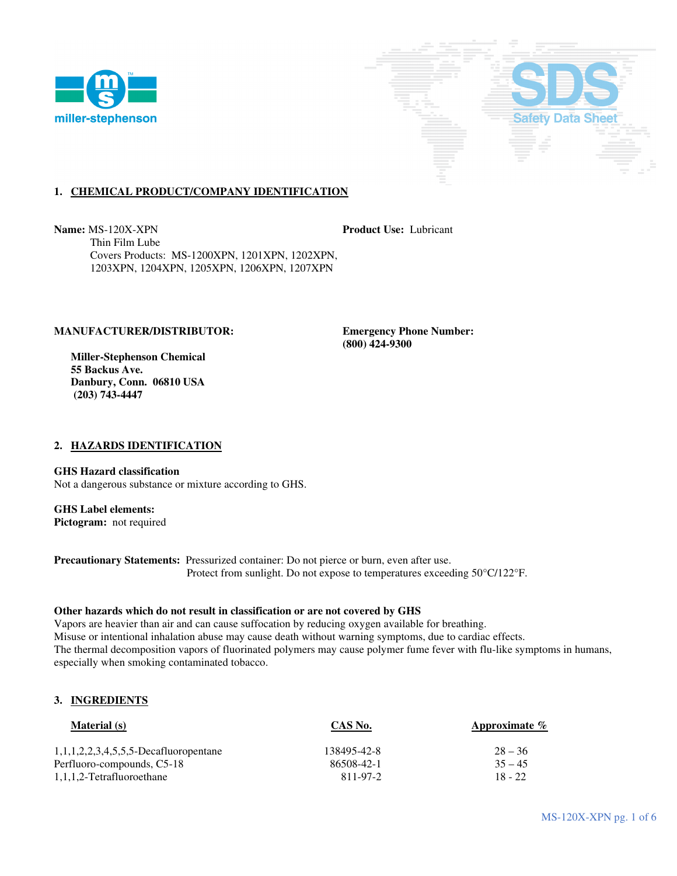



# **1. CHEMICAL PRODUCT/COMPANY IDENTIFICATION**

**Name:** MS-120X-XPN **Product Use:** Lubricant Thin Film Lube Covers Products: MS-1200XPN, 1201XPN, 1202XPN, 1203XPN, 1204XPN, 1205XPN, 1206XPN, 1207XPN

## **MANUFACTURER/DISTRIBUTOR: Emergency Phone Number:**

 **Miller-Stephenson Chemical 55 Backus Ave. Danbury, Conn. 06810 USA (203) 743-4447** 

 **(800) 424-9300** 

## **2. HAZARDS IDENTIFICATION**

**GHS Hazard classification**  Not a dangerous substance or mixture according to GHS.

# **GHS Label elements:**

**Pictogram:** not required

**Precautionary Statements:** Pressurized container: Do not pierce or burn, even after use. Protect from sunlight. Do not expose to temperatures exceeding 50°C/122°F.

### **Other hazards which do not result in classification or are not covered by GHS**

Vapors are heavier than air and can cause suffocation by reducing oxygen available for breathing. Misuse or intentional inhalation abuse may cause death without warning symptoms, due to cardiac effects. The thermal decomposition vapors of fluorinated polymers may cause polymer fume fever with flu-like symptoms in humans, especially when smoking contaminated tobacco.

## **3. INGREDIENTS**

| <b>Material</b> (s)                               | CAS No.     | Approximate $\%$ |
|---------------------------------------------------|-------------|------------------|
| $1, 1, 1, 2, 2, 3, 4, 5, 5, 5$ -Decafluoropentane | 138495-42-8 | $28 - 36$        |
| Perfluoro-compounds, C5-18                        | 86508-42-1  | $35 - 45$        |
| 1,1,1,2-Tetrafluoroethane                         | 811-97-2    | $18 - 22$        |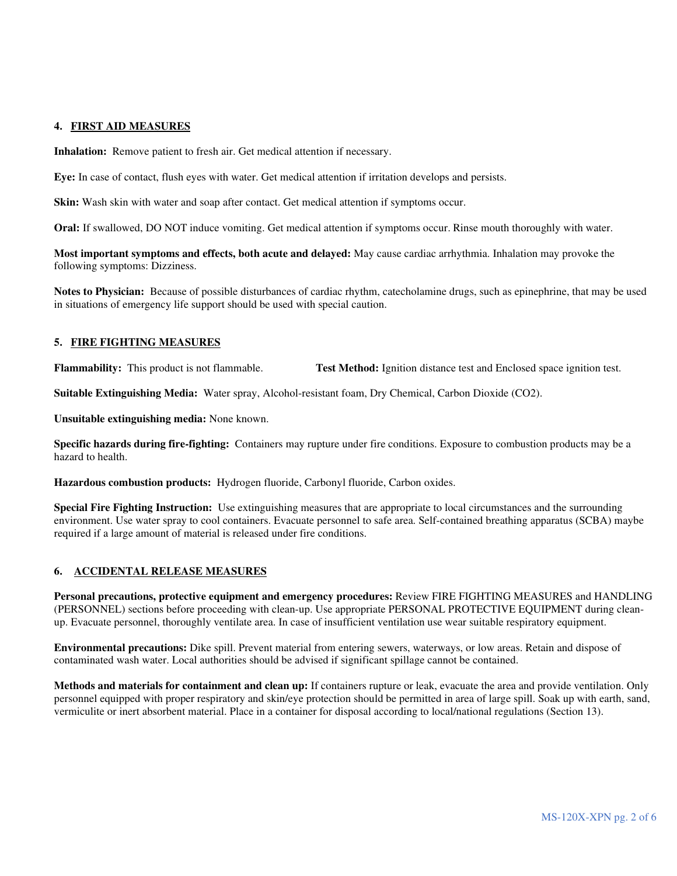### **4. FIRST AID MEASURES**

**Inhalation:** Remove patient to fresh air. Get medical attention if necessary.

**Eye:** In case of contact, flush eyes with water. Get medical attention if irritation develops and persists.

**Skin:** Wash skin with water and soap after contact. Get medical attention if symptoms occur.

**Oral:** If swallowed, DO NOT induce vomiting. Get medical attention if symptoms occur. Rinse mouth thoroughly with water.

**Most important symptoms and effects, both acute and delayed:** May cause cardiac arrhythmia. Inhalation may provoke the following symptoms: Dizziness.

**Notes to Physician:** Because of possible disturbances of cardiac rhythm, catecholamine drugs, such as epinephrine, that may be used in situations of emergency life support should be used with special caution.

#### **5. FIRE FIGHTING MEASURES**

**Flammability:** This product is not flammable. **Test Method:** Ignition distance test and Enclosed space ignition test.

**Suitable Extinguishing Media:** Water spray, Alcohol-resistant foam, Dry Chemical, Carbon Dioxide (CO2).

**Unsuitable extinguishing media:** None known.

**Specific hazards during fire-fighting:** Containers may rupture under fire conditions. Exposure to combustion products may be a hazard to health.

**Hazardous combustion products:** Hydrogen fluoride, Carbonyl fluoride, Carbon oxides.

**Special Fire Fighting Instruction:** Use extinguishing measures that are appropriate to local circumstances and the surrounding environment. Use water spray to cool containers. Evacuate personnel to safe area. Self-contained breathing apparatus (SCBA) maybe required if a large amount of material is released under fire conditions.

## **6. ACCIDENTAL RELEASE MEASURES**

**Personal precautions, protective equipment and emergency procedures:** Review FIRE FIGHTING MEASURES and HANDLING (PERSONNEL) sections before proceeding with clean-up. Use appropriate PERSONAL PROTECTIVE EQUIPMENT during cleanup. Evacuate personnel, thoroughly ventilate area. In case of insufficient ventilation use wear suitable respiratory equipment.

**Environmental precautions:** Dike spill. Prevent material from entering sewers, waterways, or low areas. Retain and dispose of contaminated wash water. Local authorities should be advised if significant spillage cannot be contained.

**Methods and materials for containment and clean up:** If containers rupture or leak, evacuate the area and provide ventilation. Only personnel equipped with proper respiratory and skin/eye protection should be permitted in area of large spill. Soak up with earth, sand, vermiculite or inert absorbent material. Place in a container for disposal according to local/national regulations (Section 13).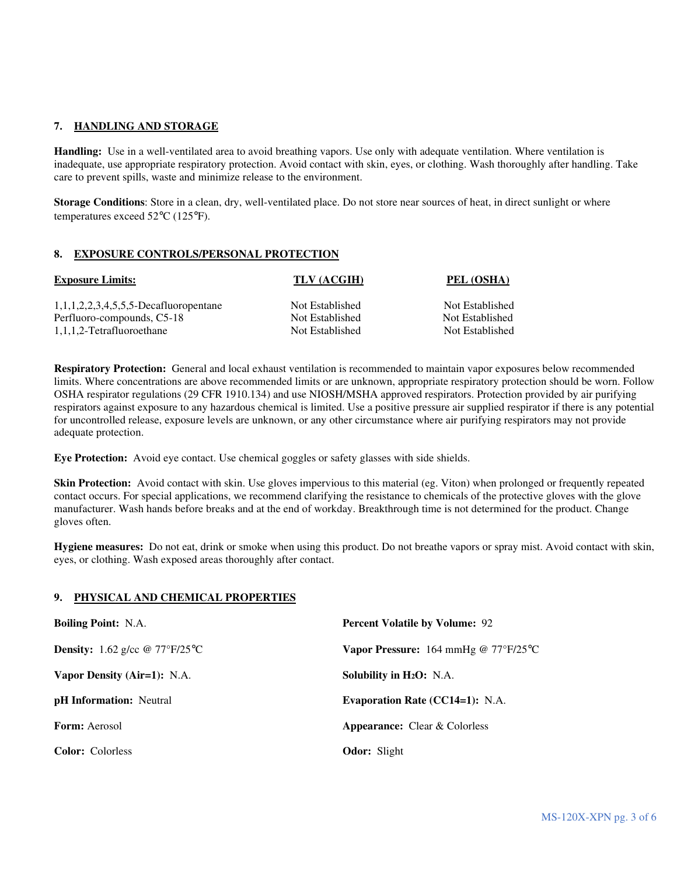## **7. HANDLING AND STORAGE**

**Handling:** Use in a well-ventilated area to avoid breathing vapors. Use only with adequate ventilation. Where ventilation is inadequate, use appropriate respiratory protection. Avoid contact with skin, eyes, or clothing. Wash thoroughly after handling. Take care to prevent spills, waste and minimize release to the environment.

**Storage Conditions**: Store in a clean, dry, well-ventilated place. Do not store near sources of heat, in direct sunlight or where temperatures exceed 52°C (125°F).

### **8. EXPOSURE CONTROLS/PERSONAL PROTECTION**

| <b>Exposure Limits:</b>                  | TLV (ACGIH)     | PEL (OSHA)      |
|------------------------------------------|-----------------|-----------------|
| $1,1,1,2,2,3,4,5,5,5$ -Decafluoropentane | Not Established | Not Established |
| Perfluoro-compounds, C5-18               | Not Established | Not Established |
| 1,1,1,2-Tetrafluoroethane                | Not Established | Not Established |

**Respiratory Protection:** General and local exhaust ventilation is recommended to maintain vapor exposures below recommended limits. Where concentrations are above recommended limits or are unknown, appropriate respiratory protection should be worn. Follow OSHA respirator regulations (29 CFR 1910.134) and use NIOSH/MSHA approved respirators. Protection provided by air purifying respirators against exposure to any hazardous chemical is limited. Use a positive pressure air supplied respirator if there is any potential for uncontrolled release, exposure levels are unknown, or any other circumstance where air purifying respirators may not provide adequate protection.

**Eye Protection:** Avoid eye contact. Use chemical goggles or safety glasses with side shields.

**Skin Protection:** Avoid contact with skin. Use gloves impervious to this material (eg. Viton) when prolonged or frequently repeated contact occurs. For special applications, we recommend clarifying the resistance to chemicals of the protective gloves with the glove manufacturer. Wash hands before breaks and at the end of workday. Breakthrough time is not determined for the product. Change gloves often.

**Hygiene measures:** Do not eat, drink or smoke when using this product. Do not breathe vapors or spray mist. Avoid contact with skin, eyes, or clothing. Wash exposed areas thoroughly after contact.

## **9. PHYSICAL AND CHEMICAL PROPERTIES**

| <b>Boiling Point: N.A.</b>                            | <b>Percent Volatile by Volume: 92</b>                       |  |
|-------------------------------------------------------|-------------------------------------------------------------|--|
| <b>Density:</b> 1.62 g/cc $@ 77^{\circ}F/25^{\circ}C$ | <b>Vapor Pressure:</b> 164 mmHg @ $77^{\circ}F/25^{\circ}C$ |  |
| Vapor Density (Air=1): N.A.                           | Solubility in $H_2O$ : N.A.                                 |  |
| <b>pH</b> Information: Neutral                        | <b>Evaporation Rate (CC14=1): N.A.</b>                      |  |
| <b>Form:</b> Aerosol                                  | <b>Appearance:</b> Clear & Colorless                        |  |
| <b>Color:</b> Colorless                               | <b>Odor:</b> Slight                                         |  |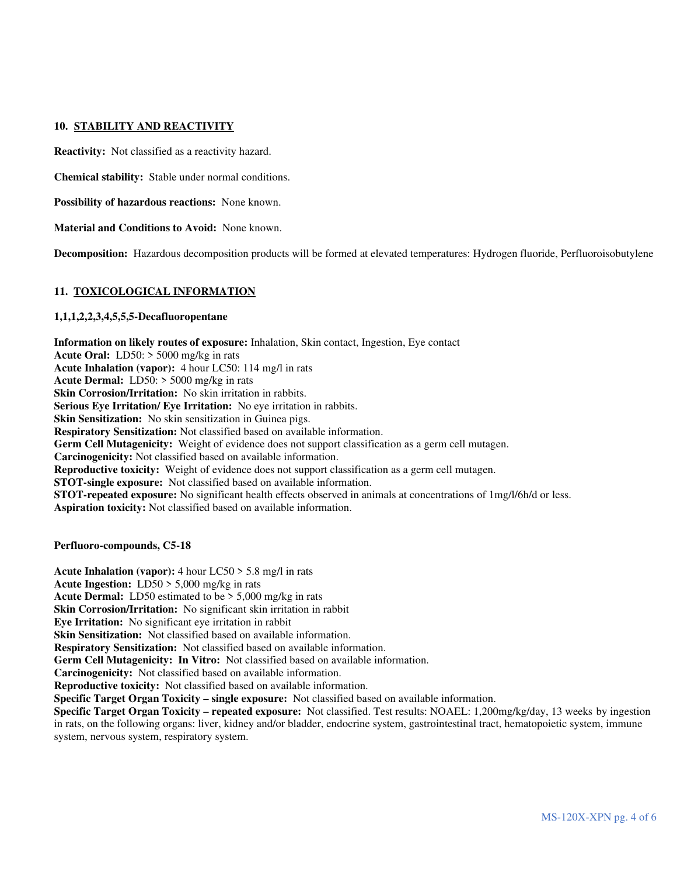## **10. STABILITY AND REACTIVITY**

**Reactivity:** Not classified as a reactivity hazard.

**Chemical stability:** Stable under normal conditions.

**Possibility of hazardous reactions:** None known.

**Material and Conditions to Avoid:** None known.

**Decomposition:** Hazardous decomposition products will be formed at elevated temperatures: Hydrogen fluoride, Perfluoroisobutylene

### **11. TOXICOLOGICAL INFORMATION**

## **1,1,1,2,2,3,4,5,5,5-Decafluoropentane**

**Information on likely routes of exposure:** Inhalation, Skin contact, Ingestion, Eye contact **Acute Oral:** LD50: > 5000 mg/kg in rats **Acute Inhalation (vapor):** 4 hour LC50: 114 mg/l in rats **Acute Dermal:** LD50: > 5000 mg/kg in rats **Skin Corrosion/Irritation:** No skin irritation in rabbits. **Serious Eve Irritation/ Eve Irritation:** No eve irritation in rabbits. **Skin Sensitization:** No skin sensitization in Guinea pigs. **Respiratory Sensitization:** Not classified based on available information. **Germ Cell Mutagenicity:** Weight of evidence does not support classification as a germ cell mutagen. **Carcinogenicity:** Not classified based on available information. **Reproductive toxicity:** Weight of evidence does not support classification as a germ cell mutagen. **STOT-single exposure:** Not classified based on available information. **STOT-repeated exposure:** No significant health effects observed in animals at concentrations of 1mg/l/6h/d or less. **Aspiration toxicity:** Not classified based on available information.

**Perfluoro-compounds, C5-18** 

**Acute Inhalation (vapor):** 4 hour LC50 > 5.8 mg/l in rats **Acute Ingestion:** LD50 > 5,000 mg/kg in rats **Acute Dermal:** LD50 estimated to be > 5,000 mg/kg in rats **Skin Corrosion/Irritation:** No significant skin irritation in rabbit **Eye Irritation:** No significant eye irritation in rabbit **Skin Sensitization:** Not classified based on available information. **Respiratory Sensitization:** Not classified based on available information. **Germ Cell Mutagenicity: In Vitro:** Not classified based on available information. **Carcinogenicity:** Not classified based on available information. **Reproductive toxicity:** Not classified based on available information. **Specific Target Organ Toxicity – single exposure:** Not classified based on available information. **Specific Target Organ Toxicity – repeated exposure:** Not classified. Test results: NOAEL: 1,200mg/kg/day, 13 weeks by ingestion in rats, on the following organs: liver, kidney and/or bladder, endocrine system, gastrointestinal tract, hematopoietic system, immune system, nervous system, respiratory system.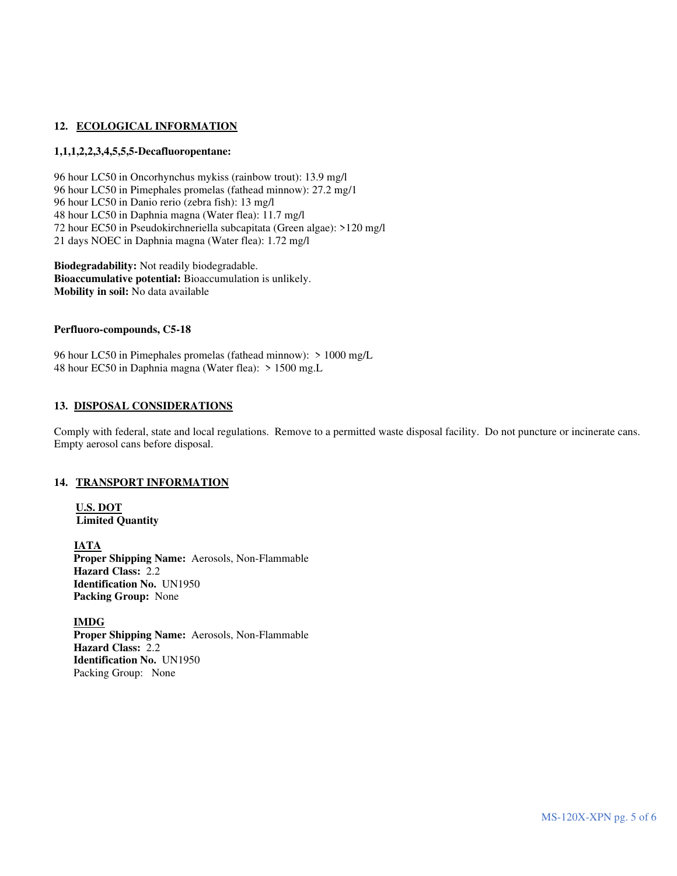## 12. ECOLOGICAL INFORMATION

## **1,1,1,2,2,3,4,5,5,5-Decafluoropentane:**

96 hour LC50 in Oncorhynchus mykiss (rainbow trout): 13.9 mg/l 96 hour LC50 in Pimephales promelas (fathead minnow): 27.2 mg/1 96 hour LC50 in Danio rerio (zebra fish): 13 mg/l 48 hour LC50 in Daphnia magna (Water flea): 11.7 mg/l 72 hour EC50 in Pseudokirchneriella subcapitata (Green algae): >120 mg/l 21 days NOEC in Daphnia magna (Water flea): 1.72 mg/l

**Biodegradability:** Not readily biodegradable. **Bioaccumulative potential:** Bioaccumulation is unlikely. **Mobility in soil:** No data available

### **Perfluoro-compounds, C5-18**

96 hour LC50 in Pimephales promelas (fathead minnow): > 1000 mg/L 48 hour EC50 in Daphnia magna (Water flea): > 1500 mg.L

## **13. DISPOSAL CONSIDERATIONS**

Comply with federal, state and local regulations. Remove to a permitted waste disposal facility. Do not puncture or incinerate cans. Empty aerosol cans before disposal.

### **14. TRANSPORT INFORMATION**

**U.S. DOT Limited Quantity** 

**IATA Proper Shipping Name:** Aerosols, Non-Flammable **Hazard Class:** 2.2 **Identification No.** UN1950 **Packing Group:** None

**IMDG**

 **Proper Shipping Name:** Aerosols, Non-Flammable **Hazard Class:** 2.2 **Identification No.** UN1950 Packing Group: None